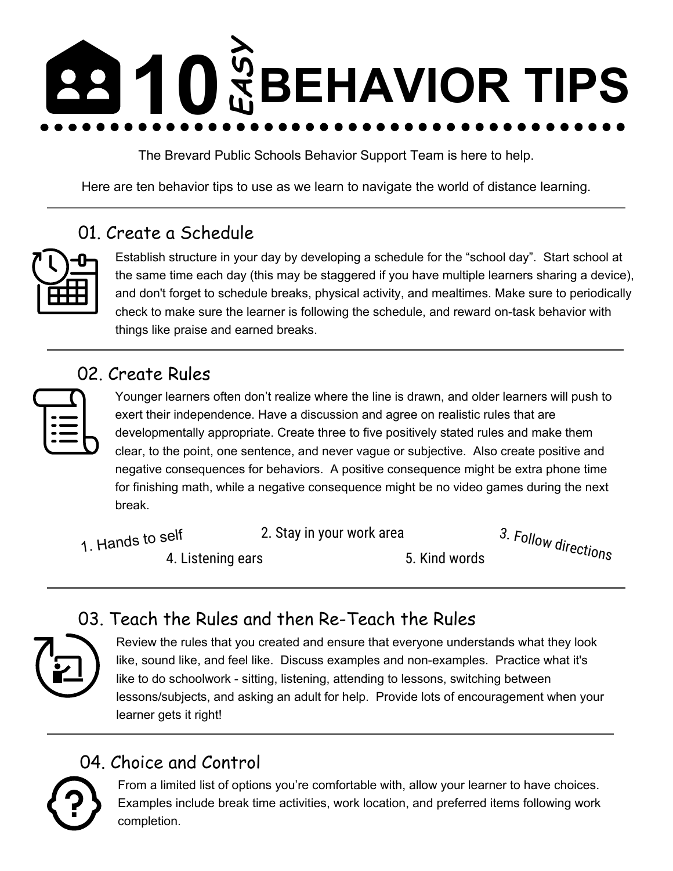# **10 EASY BEHAVIOR TIPS**

The Brevard Public Schools Behavior Support Team is here to help.

Here are ten behavior tips to use as we learn to navigate the world of distance learning.

# 01. Create a Schedule



Establish structure in your day by developing a schedule for the "school day". Start school at the same time each day (this may be staggered if you have multiple learners sharing a device), and don't forget to schedule breaks, physical activity, and mealtimes. Make sure to periodically check to make sure the learner is following the schedule, and reward on-task behavior with things like praise and earned breaks.

#### 02. Create Rules



Younger learners often don't realize where the line is drawn, and older learners will push to exert their independence. Have a discussion and agree on realistic rules that are developmentally appropriate. Create three to five positively stated rules and make them clear, to the point, one sentence, and never vague or subjective. Also create positive and negative consequences for behaviors. A positive consequence might be extra phone time for finishing math, while a negative consequence might be no video games during the next break.

- 1. Hands to self 2. Stay in your work area 4. Listening ears 6. Kind words 3. Follow directions
	-

## 03. Teach the Rules and then Re-Teach the Rules

| ┏ |
|---|
|   |

Review the rules that you created and ensure that everyone understands what they look like, sound like, and feel like. Discuss examples and non-examples. Practice what it's like to do schoolwork - sitting, listening, attending to lessons, switching between lessons/subjects, and asking an adult for help. Provide lots of encouragement when your learner gets it right!

# 04. Choice and Control



From a limited list of options you're comfortable with, allow your learner to have choices. Examples include break time activities, work location, and preferred items following work completion.